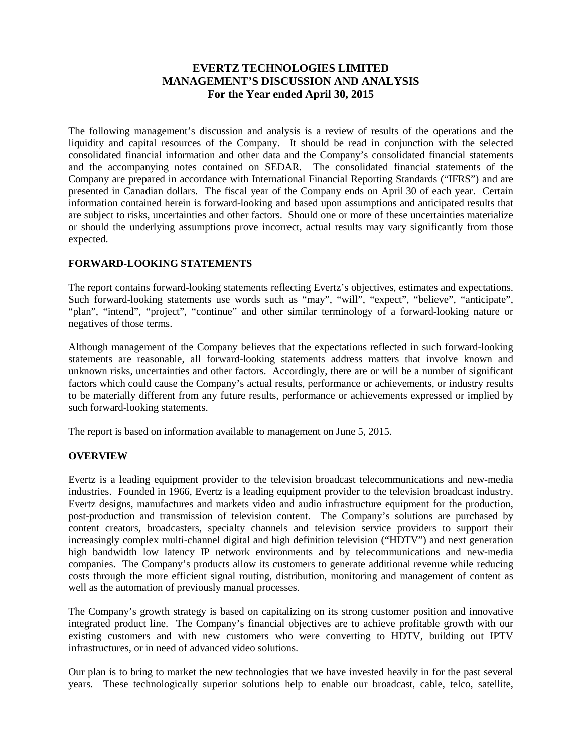# **EVERTZ TECHNOLOGIES LIMITED MANAGEMENT'S DISCUSSION AND ANALYSIS For the Year ended April 30, 2015**

The following management's discussion and analysis is a review of results of the operations and the liquidity and capital resources of the Company. It should be read in conjunction with the selected consolidated financial information and other data and the Company's consolidated financial statements and the accompanying notes contained on SEDAR. The consolidated financial statements of the Company are prepared in accordance with International Financial Reporting Standards ("IFRS") and are presented in Canadian dollars. The fiscal year of the Company ends on April 30 of each year. Certain information contained herein is forward-looking and based upon assumptions and anticipated results that are subject to risks, uncertainties and other factors. Should one or more of these uncertainties materialize or should the underlying assumptions prove incorrect, actual results may vary significantly from those expected.

## **FORWARD-LOOKING STATEMENTS**

The report contains forward-looking statements reflecting Evertz's objectives, estimates and expectations. Such forward-looking statements use words such as "may", "will", "expect", "believe", "anticipate", "plan", "intend", "project", "continue" and other similar terminology of a forward-looking nature or negatives of those terms.

Although management of the Company believes that the expectations reflected in such forward-looking statements are reasonable, all forward-looking statements address matters that involve known and unknown risks, uncertainties and other factors. Accordingly, there are or will be a number of significant factors which could cause the Company's actual results, performance or achievements, or industry results to be materially different from any future results, performance or achievements expressed or implied by such forward-looking statements.

The report is based on information available to management on June 5, 2015.

## **OVERVIEW**

Evertz is a leading equipment provider to the television broadcast telecommunications and new-media industries. Founded in 1966, Evertz is a leading equipment provider to the television broadcast industry. Evertz designs, manufactures and markets video and audio infrastructure equipment for the production, post-production and transmission of television content. The Company's solutions are purchased by content creators, broadcasters, specialty channels and television service providers to support their increasingly complex multi-channel digital and high definition television ("HDTV") and next generation high bandwidth low latency IP network environments and by telecommunications and new-media companies. The Company's products allow its customers to generate additional revenue while reducing costs through the more efficient signal routing, distribution, monitoring and management of content as well as the automation of previously manual processes.

The Company's growth strategy is based on capitalizing on its strong customer position and innovative integrated product line. The Company's financial objectives are to achieve profitable growth with our existing customers and with new customers who were converting to HDTV, building out IPTV infrastructures, or in need of advanced video solutions.

Our plan is to bring to market the new technologies that we have invested heavily in for the past several years. These technologically superior solutions help to enable our broadcast, cable, telco, satellite,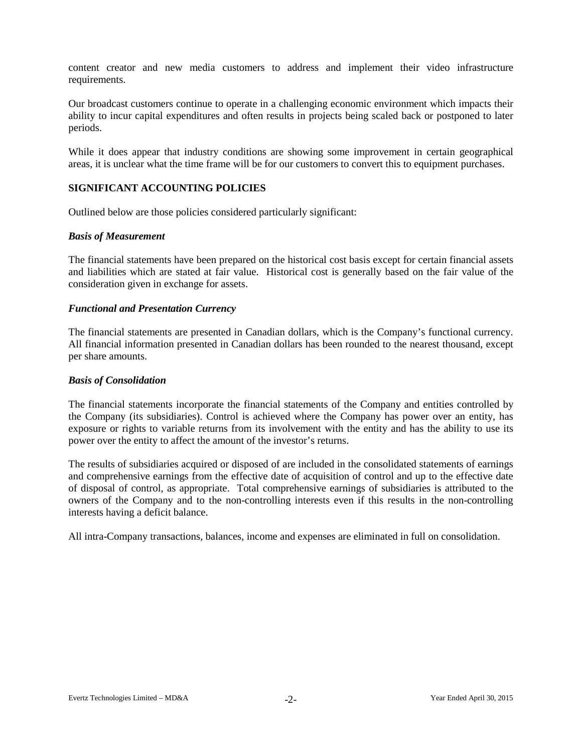content creator and new media customers to address and implement their video infrastructure requirements.

Our broadcast customers continue to operate in a challenging economic environment which impacts their ability to incur capital expenditures and often results in projects being scaled back or postponed to later periods.

While it does appear that industry conditions are showing some improvement in certain geographical areas, it is unclear what the time frame will be for our customers to convert this to equipment purchases.

## **SIGNIFICANT ACCOUNTING POLICIES**

Outlined below are those policies considered particularly significant:

## *Basis of Measurement*

The financial statements have been prepared on the historical cost basis except for certain financial assets and liabilities which are stated at fair value. Historical cost is generally based on the fair value of the consideration given in exchange for assets.

## *Functional and Presentation Currency*

The financial statements are presented in Canadian dollars, which is the Company's functional currency. All financial information presented in Canadian dollars has been rounded to the nearest thousand, except per share amounts.

#### *Basis of Consolidation*

The financial statements incorporate the financial statements of the Company and entities controlled by the Company (its subsidiaries). Control is achieved where the Company has power over an entity, has exposure or rights to variable returns from its involvement with the entity and has the ability to use its power over the entity to affect the amount of the investor's returns.

The results of subsidiaries acquired or disposed of are included in the consolidated statements of earnings and comprehensive earnings from the effective date of acquisition of control and up to the effective date of disposal of control, as appropriate. Total comprehensive earnings of subsidiaries is attributed to the owners of the Company and to the non-controlling interests even if this results in the non-controlling interests having a deficit balance.

All intra-Company transactions, balances, income and expenses are eliminated in full on consolidation.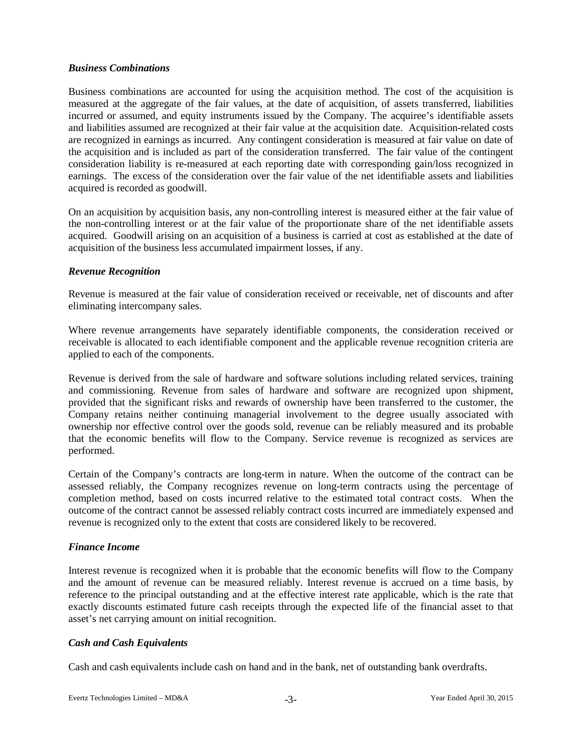## *Business Combinations*

Business combinations are accounted for using the acquisition method. The cost of the acquisition is measured at the aggregate of the fair values, at the date of acquisition, of assets transferred, liabilities incurred or assumed, and equity instruments issued by the Company. The acquiree's identifiable assets and liabilities assumed are recognized at their fair value at the acquisition date. Acquisition-related costs are recognized in earnings as incurred. Any contingent consideration is measured at fair value on date of the acquisition and is included as part of the consideration transferred. The fair value of the contingent consideration liability is re-measured at each reporting date with corresponding gain/loss recognized in earnings. The excess of the consideration over the fair value of the net identifiable assets and liabilities acquired is recorded as goodwill.

On an acquisition by acquisition basis, any non-controlling interest is measured either at the fair value of the non-controlling interest or at the fair value of the proportionate share of the net identifiable assets acquired. Goodwill arising on an acquisition of a business is carried at cost as established at the date of acquisition of the business less accumulated impairment losses, if any.

## *Revenue Recognition*

Revenue is measured at the fair value of consideration received or receivable, net of discounts and after eliminating intercompany sales.

Where revenue arrangements have separately identifiable components, the consideration received or receivable is allocated to each identifiable component and the applicable revenue recognition criteria are applied to each of the components.

Revenue is derived from the sale of hardware and software solutions including related services, training and commissioning. Revenue from sales of hardware and software are recognized upon shipment, provided that the significant risks and rewards of ownership have been transferred to the customer, the Company retains neither continuing managerial involvement to the degree usually associated with ownership nor effective control over the goods sold, revenue can be reliably measured and its probable that the economic benefits will flow to the Company. Service revenue is recognized as services are performed.

Certain of the Company's contracts are long-term in nature. When the outcome of the contract can be assessed reliably, the Company recognizes revenue on long-term contracts using the percentage of completion method, based on costs incurred relative to the estimated total contract costs. When the outcome of the contract cannot be assessed reliably contract costs incurred are immediately expensed and revenue is recognized only to the extent that costs are considered likely to be recovered.

## *Finance Income*

Interest revenue is recognized when it is probable that the economic benefits will flow to the Company and the amount of revenue can be measured reliably. Interest revenue is accrued on a time basis, by reference to the principal outstanding and at the effective interest rate applicable, which is the rate that exactly discounts estimated future cash receipts through the expected life of the financial asset to that asset's net carrying amount on initial recognition.

## *Cash and Cash Equivalents*

Cash and cash equivalents include cash on hand and in the bank, net of outstanding bank overdrafts.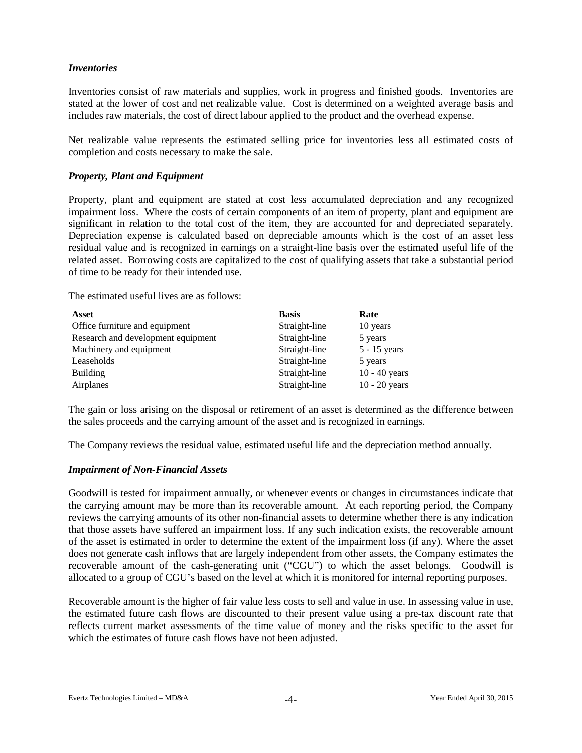## *Inventories*

Inventories consist of raw materials and supplies, work in progress and finished goods. Inventories are stated at the lower of cost and net realizable value. Cost is determined on a weighted average basis and includes raw materials, the cost of direct labour applied to the product and the overhead expense.

Net realizable value represents the estimated selling price for inventories less all estimated costs of completion and costs necessary to make the sale.

## *Property, Plant and Equipment*

Property, plant and equipment are stated at cost less accumulated depreciation and any recognized impairment loss. Where the costs of certain components of an item of property, plant and equipment are significant in relation to the total cost of the item, they are accounted for and depreciated separately. Depreciation expense is calculated based on depreciable amounts which is the cost of an asset less residual value and is recognized in earnings on a straight-line basis over the estimated useful life of the related asset. Borrowing costs are capitalized to the cost of qualifying assets that take a substantial period of time to be ready for their intended use.

The estimated useful lives are as follows:

| Asset                              | <b>Basis</b>  | Rate            |
|------------------------------------|---------------|-----------------|
| Office furniture and equipment     | Straight-line | 10 years        |
| Research and development equipment | Straight-line | 5 years         |
| Machinery and equipment            | Straight-line | $5 - 15$ years  |
| Leaseholds                         | Straight-line | 5 years         |
| <b>Building</b>                    | Straight-line | $10 - 40$ years |
| Airplanes                          | Straight-line | $10 - 20$ years |

The gain or loss arising on the disposal or retirement of an asset is determined as the difference between the sales proceeds and the carrying amount of the asset and is recognized in earnings.

The Company reviews the residual value, estimated useful life and the depreciation method annually.

#### *Impairment of Non-Financial Assets*

Goodwill is tested for impairment annually, or whenever events or changes in circumstances indicate that the carrying amount may be more than its recoverable amount. At each reporting period, the Company reviews the carrying amounts of its other non-financial assets to determine whether there is any indication that those assets have suffered an impairment loss. If any such indication exists, the recoverable amount of the asset is estimated in order to determine the extent of the impairment loss (if any). Where the asset does not generate cash inflows that are largely independent from other assets, the Company estimates the recoverable amount of the cash-generating unit ("CGU") to which the asset belongs. Goodwill is allocated to a group of CGU's based on the level at which it is monitored for internal reporting purposes.

Recoverable amount is the higher of fair value less costs to sell and value in use. In assessing value in use, the estimated future cash flows are discounted to their present value using a pre-tax discount rate that reflects current market assessments of the time value of money and the risks specific to the asset for which the estimates of future cash flows have not been adjusted.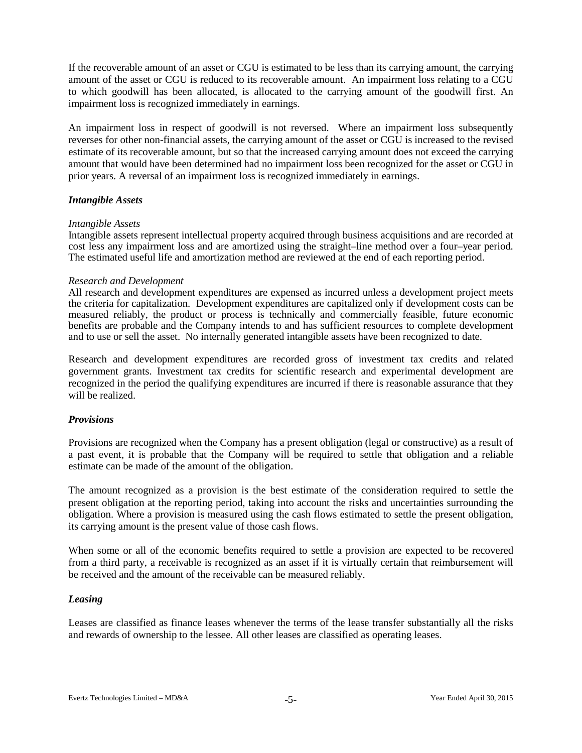If the recoverable amount of an asset or CGU is estimated to be less than its carrying amount, the carrying amount of the asset or CGU is reduced to its recoverable amount. An impairment loss relating to a CGU to which goodwill has been allocated, is allocated to the carrying amount of the goodwill first. An impairment loss is recognized immediately in earnings.

An impairment loss in respect of goodwill is not reversed. Where an impairment loss subsequently reverses for other non-financial assets, the carrying amount of the asset or CGU is increased to the revised estimate of its recoverable amount, but so that the increased carrying amount does not exceed the carrying amount that would have been determined had no impairment loss been recognized for the asset or CGU in prior years. A reversal of an impairment loss is recognized immediately in earnings.

## *Intangible Assets*

#### *Intangible Assets*

Intangible assets represent intellectual property acquired through business acquisitions and are recorded at cost less any impairment loss and are amortized using the straight–line method over a four–year period. The estimated useful life and amortization method are reviewed at the end of each reporting period.

#### *Research and Development*

All research and development expenditures are expensed as incurred unless a development project meets the criteria for capitalization. Development expenditures are capitalized only if development costs can be measured reliably, the product or process is technically and commercially feasible, future economic benefits are probable and the Company intends to and has sufficient resources to complete development and to use or sell the asset. No internally generated intangible assets have been recognized to date.

Research and development expenditures are recorded gross of investment tax credits and related government grants. Investment tax credits for scientific research and experimental development are recognized in the period the qualifying expenditures are incurred if there is reasonable assurance that they will be realized.

#### *Provisions*

Provisions are recognized when the Company has a present obligation (legal or constructive) as a result of a past event, it is probable that the Company will be required to settle that obligation and a reliable estimate can be made of the amount of the obligation.

The amount recognized as a provision is the best estimate of the consideration required to settle the present obligation at the reporting period, taking into account the risks and uncertainties surrounding the obligation. Where a provision is measured using the cash flows estimated to settle the present obligation, its carrying amount is the present value of those cash flows.

When some or all of the economic benefits required to settle a provision are expected to be recovered from a third party, a receivable is recognized as an asset if it is virtually certain that reimbursement will be received and the amount of the receivable can be measured reliably.

## *Leasing*

Leases are classified as finance leases whenever the terms of the lease transfer substantially all the risks and rewards of ownership to the lessee. All other leases are classified as operating leases.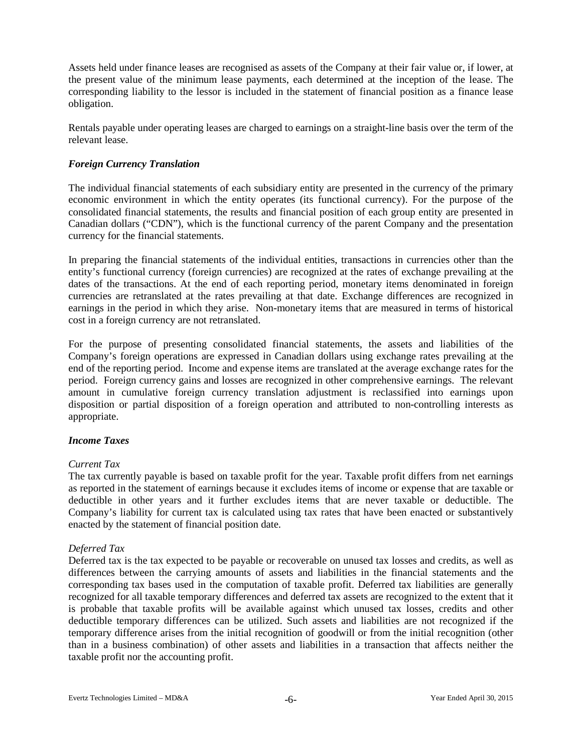Assets held under finance leases are recognised as assets of the Company at their fair value or, if lower, at the present value of the minimum lease payments, each determined at the inception of the lease. The corresponding liability to the lessor is included in the statement of financial position as a finance lease obligation.

Rentals payable under operating leases are charged to earnings on a straight-line basis over the term of the relevant lease.

## *Foreign Currency Translation*

The individual financial statements of each subsidiary entity are presented in the currency of the primary economic environment in which the entity operates (its functional currency). For the purpose of the consolidated financial statements, the results and financial position of each group entity are presented in Canadian dollars ("CDN"), which is the functional currency of the parent Company and the presentation currency for the financial statements.

In preparing the financial statements of the individual entities, transactions in currencies other than the entity's functional currency (foreign currencies) are recognized at the rates of exchange prevailing at the dates of the transactions. At the end of each reporting period, monetary items denominated in foreign currencies are retranslated at the rates prevailing at that date. Exchange differences are recognized in earnings in the period in which they arise. Non-monetary items that are measured in terms of historical cost in a foreign currency are not retranslated.

For the purpose of presenting consolidated financial statements, the assets and liabilities of the Company's foreign operations are expressed in Canadian dollars using exchange rates prevailing at the end of the reporting period. Income and expense items are translated at the average exchange rates for the period. Foreign currency gains and losses are recognized in other comprehensive earnings. The relevant amount in cumulative foreign currency translation adjustment is reclassified into earnings upon disposition or partial disposition of a foreign operation and attributed to non-controlling interests as appropriate.

#### *Income Taxes*

#### *Current Tax*

The tax currently payable is based on taxable profit for the year. Taxable profit differs from net earnings as reported in the statement of earnings because it excludes items of income or expense that are taxable or deductible in other years and it further excludes items that are never taxable or deductible. The Company's liability for current tax is calculated using tax rates that have been enacted or substantively enacted by the statement of financial position date.

## *Deferred Tax*

Deferred tax is the tax expected to be payable or recoverable on unused tax losses and credits, as well as differences between the carrying amounts of assets and liabilities in the financial statements and the corresponding tax bases used in the computation of taxable profit. Deferred tax liabilities are generally recognized for all taxable temporary differences and deferred tax assets are recognized to the extent that it is probable that taxable profits will be available against which unused tax losses, credits and other deductible temporary differences can be utilized. Such assets and liabilities are not recognized if the temporary difference arises from the initial recognition of goodwill or from the initial recognition (other than in a business combination) of other assets and liabilities in a transaction that affects neither the taxable profit nor the accounting profit.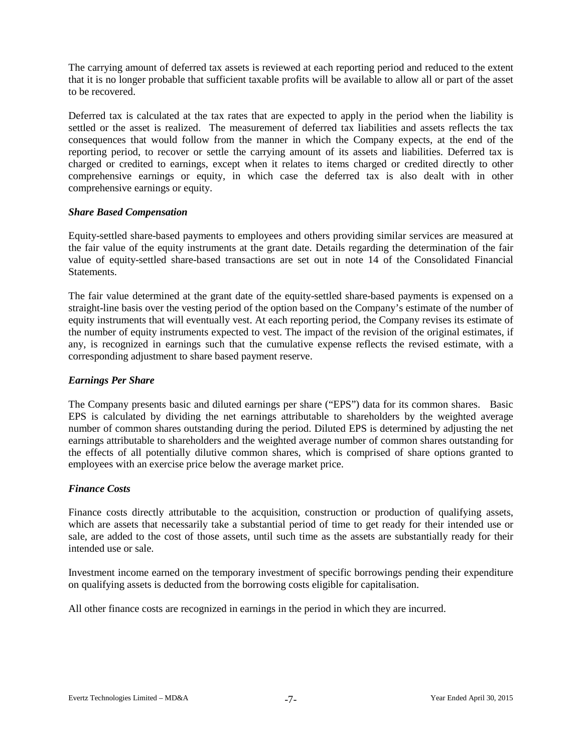The carrying amount of deferred tax assets is reviewed at each reporting period and reduced to the extent that it is no longer probable that sufficient taxable profits will be available to allow all or part of the asset to be recovered.

Deferred tax is calculated at the tax rates that are expected to apply in the period when the liability is settled or the asset is realized. The measurement of deferred tax liabilities and assets reflects the tax consequences that would follow from the manner in which the Company expects, at the end of the reporting period, to recover or settle the carrying amount of its assets and liabilities. Deferred tax is charged or credited to earnings, except when it relates to items charged or credited directly to other comprehensive earnings or equity, in which case the deferred tax is also dealt with in other comprehensive earnings or equity.

## *Share Based Compensation*

Equity-settled share-based payments to employees and others providing similar services are measured at the fair value of the equity instruments at the grant date. Details regarding the determination of the fair value of equity-settled share-based transactions are set out in note 14 of the Consolidated Financial **Statements** 

The fair value determined at the grant date of the equity-settled share-based payments is expensed on a straight-line basis over the vesting period of the option based on the Company's estimate of the number of equity instruments that will eventually vest. At each reporting period, the Company revises its estimate of the number of equity instruments expected to vest. The impact of the revision of the original estimates, if any, is recognized in earnings such that the cumulative expense reflects the revised estimate, with a corresponding adjustment to share based payment reserve.

## *Earnings Per Share*

The Company presents basic and diluted earnings per share ("EPS") data for its common shares. Basic EPS is calculated by dividing the net earnings attributable to shareholders by the weighted average number of common shares outstanding during the period. Diluted EPS is determined by adjusting the net earnings attributable to shareholders and the weighted average number of common shares outstanding for the effects of all potentially dilutive common shares, which is comprised of share options granted to employees with an exercise price below the average market price.

## *Finance Costs*

Finance costs directly attributable to the acquisition, construction or production of qualifying assets, which are assets that necessarily take a substantial period of time to get ready for their intended use or sale, are added to the cost of those assets, until such time as the assets are substantially ready for their intended use or sale.

Investment income earned on the temporary investment of specific borrowings pending their expenditure on qualifying assets is deducted from the borrowing costs eligible for capitalisation.

All other finance costs are recognized in earnings in the period in which they are incurred.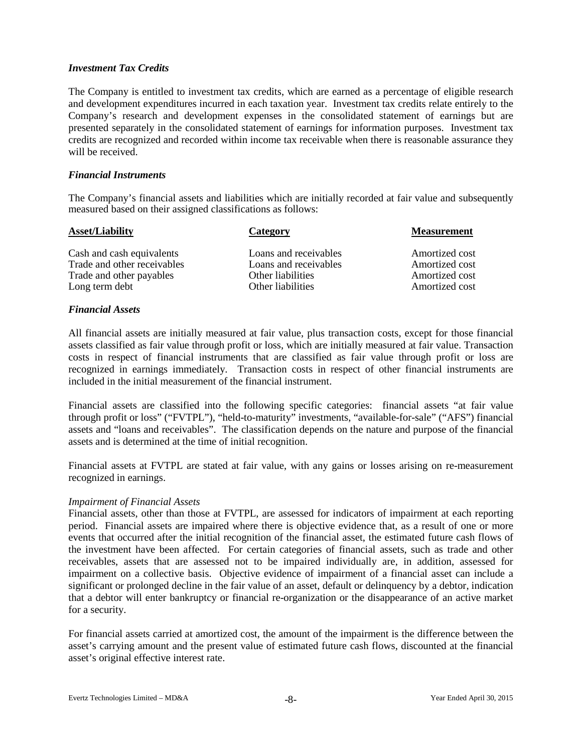## *Investment Tax Credits*

The Company is entitled to investment tax credits, which are earned as a percentage of eligible research and development expenditures incurred in each taxation year. Investment tax credits relate entirely to the Company's research and development expenses in the consolidated statement of earnings but are presented separately in the consolidated statement of earnings for information purposes. Investment tax credits are recognized and recorded within income tax receivable when there is reasonable assurance they will be received.

## *Financial Instruments*

The Company's financial assets and liabilities which are initially recorded at fair value and subsequently measured based on their assigned classifications as follows:

| Category              | <b>Measurement</b> |
|-----------------------|--------------------|
| Loans and receivables | Amortized cost     |
| Loans and receivables | Amortized cost     |
| Other liabilities     | Amortized cost     |
| Other liabilities     | Amortized cost     |
|                       |                    |

## *Financial Assets*

All financial assets are initially measured at fair value, plus transaction costs, except for those financial assets classified as fair value through profit or loss, which are initially measured at fair value. Transaction costs in respect of financial instruments that are classified as fair value through profit or loss are recognized in earnings immediately. Transaction costs in respect of other financial instruments are included in the initial measurement of the financial instrument.

Financial assets are classified into the following specific categories: financial assets "at fair value through profit or loss" ("FVTPL"), "held-to-maturity" investments, "available-for-sale" ("AFS") financial assets and "loans and receivables". The classification depends on the nature and purpose of the financial assets and is determined at the time of initial recognition.

Financial assets at FVTPL are stated at fair value, with any gains or losses arising on re-measurement recognized in earnings.

#### *Impairment of Financial Assets*

Financial assets, other than those at FVTPL, are assessed for indicators of impairment at each reporting period. Financial assets are impaired where there is objective evidence that, as a result of one or more events that occurred after the initial recognition of the financial asset, the estimated future cash flows of the investment have been affected. For certain categories of financial assets, such as trade and other receivables, assets that are assessed not to be impaired individually are, in addition, assessed for impairment on a collective basis. Objective evidence of impairment of a financial asset can include a significant or prolonged decline in the fair value of an asset, default or delinquency by a debtor, indication that a debtor will enter bankruptcy or financial re-organization or the disappearance of an active market for a security.

For financial assets carried at amortized cost, the amount of the impairment is the difference between the asset's carrying amount and the present value of estimated future cash flows, discounted at the financial asset's original effective interest rate.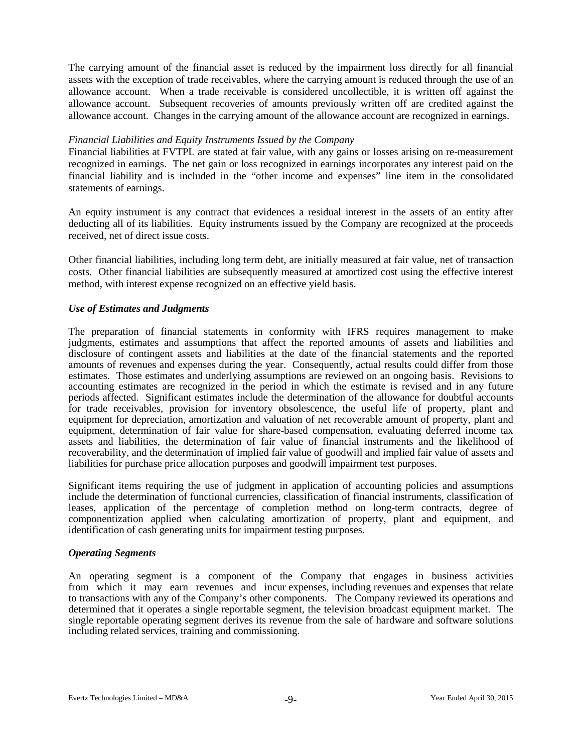The carrying amount of the financial asset is reduced by the impairment loss directly for all financial assets with the exception of trade receivables, where the carrying amount is reduced through the use of an allowance account. When a trade receivable is considered uncollectible, it is written off against the allowance account. Subsequent recoveries of amounts previously written off are credited against the allowance account. Changes in the carrying amount of the allowance account are recognized in earnings.

## *Financial Liabilities and Equity Instruments Issued by the Company*

Financial liabilities at FVTPL are stated at fair value, with any gains or losses arising on re-measurement recognized in earnings. The net gain or loss recognized in earnings incorporates any interest paid on the financial liability and is included in the "other income and expenses" line item in the consolidated statements of earnings.

An equity instrument is any contract that evidences a residual interest in the assets of an entity after deducting all of its liabilities. Equity instruments issued by the Company are recognized at the proceeds received, net of direct issue costs.

Other financial liabilities, including long term debt, are initially measured at fair value, net of transaction costs. Other financial liabilities are subsequently measured at amortized cost using the effective interest method, with interest expense recognized on an effective yield basis.

## *Use of Estimates and Judgments*

The preparation of financial statements in conformity with IFRS requires management to make judgments, estimates and assumptions that affect the reported amounts of assets and liabilities and disclosure of contingent assets and liabilities at the date of the financial statements and the reported amounts of revenues and expenses during the year. Consequently, actual results could differ from those estimates. Those estimates and underlying assumptions are reviewed on an ongoing basis. Revisions to accounting estimates are recognized in the period in which the estimate is revised and in any future periods affected. Significant estimates include the determination of the allowance for doubtful accounts for trade receivables, provision for inventory obsolescence, the useful life of property, plant and equipment for depreciation, amortization and valuation of net recoverable amount of property, plant and equipment, determination of fair value for share-based compensation, evaluating deferred income tax assets and liabilities, the determination of fair value of financial instruments and the likelihood of recoverability, and the determination of implied fair value of goodwill and implied fair value of assets and liabilities for purchase price allocation purposes and goodwill impairment test purposes.

Significant items requiring the use of judgment in application of accounting policies and assumptions include the determination of functional currencies, classification of financial instruments, classification of leases, application of the percentage of completion method on long-term contracts, degree of componentization applied when calculating amortization of property, plant and equipment, and identification of cash generating units for impairment testing purposes.

#### *Operating Segments*

An operating segment is a component of the Company that engages in business activities from which it may earn revenues and incur expenses, including revenues and expenses that relate to transactions with any of the Company's other components. The Company reviewed its operations and determined that it operates a single reportable segment, the television broadcast equipment market. The single reportable operating segment derives its revenue from the sale of hardware and software solutions including related services, training and commissioning.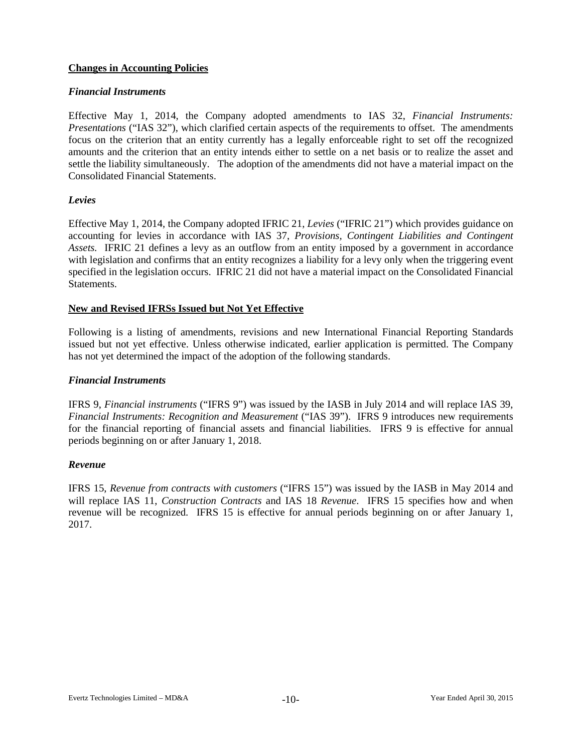## **Changes in Accounting Policies**

## *Financial Instruments*

Effective May 1, 2014, the Company adopted amendments to IAS 32, *Financial Instruments: Presentations* ("IAS 32"), which clarified certain aspects of the requirements to offset. The amendments focus on the criterion that an entity currently has a legally enforceable right to set off the recognized amounts and the criterion that an entity intends either to settle on a net basis or to realize the asset and settle the liability simultaneously. The adoption of the amendments did not have a material impact on the Consolidated Financial Statements.

## *Levies*

Effective May 1, 2014, the Company adopted IFRIC 21, *Levies* ("IFRIC 21") which provides guidance on accounting for levies in accordance with IAS 37, *Provisions, Contingent Liabilities and Contingent Assets.* IFRIC 21 defines a levy as an outflow from an entity imposed by a government in accordance with legislation and confirms that an entity recognizes a liability for a levy only when the triggering event specified in the legislation occurs. IFRIC 21 did not have a material impact on the Consolidated Financial Statements.

## **New and Revised IFRSs Issued but Not Yet Effective**

Following is a listing of amendments, revisions and new International Financial Reporting Standards issued but not yet effective. Unless otherwise indicated, earlier application is permitted. The Company has not yet determined the impact of the adoption of the following standards.

#### *Financial Instruments*

IFRS 9, *Financial instruments* ("IFRS 9") was issued by the IASB in July 2014 and will replace IAS 39, *Financial Instruments: Recognition and Measurement* ("IAS 39"). IFRS 9 introduces new requirements for the financial reporting of financial assets and financial liabilities. IFRS 9 is effective for annual periods beginning on or after January 1, 2018.

#### *Revenue*

IFRS 15, *Revenue from contracts with customers* ("IFRS 15") was issued by the IASB in May 2014 and will replace IAS 11, *Construction Contracts* and IAS 18 *Revenue*. IFRS 15 specifies how and when revenue will be recognized. IFRS 15 is effective for annual periods beginning on or after January 1, 2017.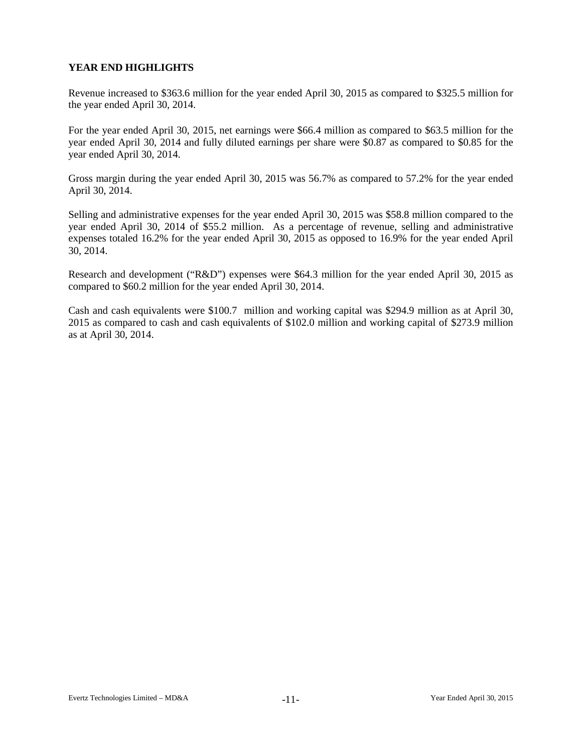# **YEAR END HIGHLIGHTS**

Revenue increased to \$363.6 million for the year ended April 30, 2015 as compared to \$325.5 million for the year ended April 30, 2014.

For the year ended April 30, 2015, net earnings were \$66.4 million as compared to \$63.5 million for the year ended April 30, 2014 and fully diluted earnings per share were \$0.87 as compared to \$0.85 for the year ended April 30, 2014.

Gross margin during the year ended April 30, 2015 was 56.7% as compared to 57.2% for the year ended April 30, 2014.

Selling and administrative expenses for the year ended April 30, 2015 was \$58.8 million compared to the year ended April 30, 2014 of \$55.2 million. As a percentage of revenue, selling and administrative expenses totaled 16.2% for the year ended April 30, 2015 as opposed to 16.9% for the year ended April 30, 2014.

Research and development ("R&D") expenses were \$64.3 million for the year ended April 30, 2015 as compared to \$60.2 million for the year ended April 30, 2014.

Cash and cash equivalents were \$100.7 million and working capital was \$294.9 million as at April 30, 2015 as compared to cash and cash equivalents of \$102.0 million and working capital of \$273.9 million as at April 30, 2014.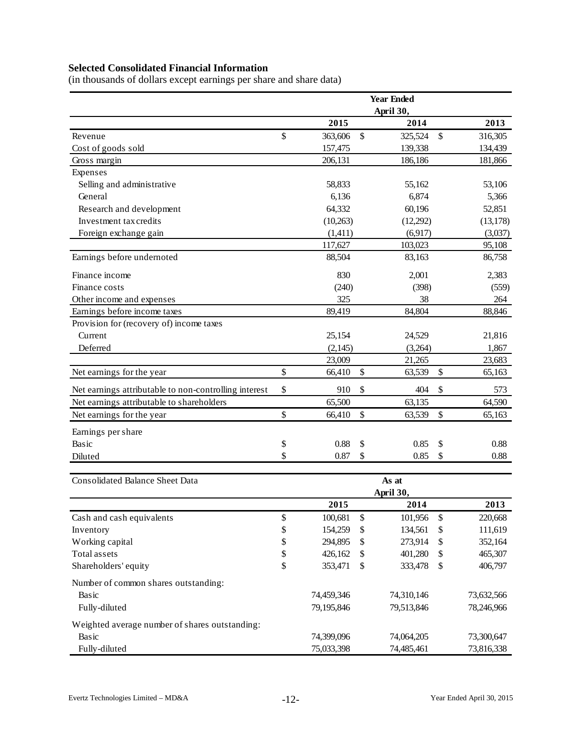# **Selected Consolidated Financial Information**

(in thousands of dollars except earnings per share and share data)

|                                                       |                   |            |      | <b>Year Ended</b>  |               |
|-------------------------------------------------------|-------------------|------------|------|--------------------|---------------|
|                                                       |                   |            |      | April 30,          |               |
|                                                       |                   | 2015       |      | 2014               | 2013          |
| Revenue                                               | \$                | 363,606    | \$   | 325,524            | \$<br>316,305 |
| Cost of goods sold                                    |                   | 157,475    |      | 139,338            | 134,439       |
| Gross margin                                          |                   | 206,131    |      | 186,186            | 181,866       |
| Expenses                                              |                   |            |      |                    |               |
| Selling and administrative                            |                   | 58,833     |      | 55,162             | 53,106        |
| General                                               |                   | 6,136      |      | 6,874              | 5,366         |
| Research and development                              |                   | 64,332     |      | 60,196             | 52,851        |
| Investment tax credits                                |                   | (10,263)   |      | (12,292)           | (13, 178)     |
| Foreign exchange gain                                 |                   | (1,411)    |      | (6,917)            | (3,037)       |
|                                                       |                   | 117,627    |      | 103,023            | 95,108        |
| Earnings before undernoted                            |                   | 88,504     |      | 83,163             | 86,758        |
| Finance income                                        |                   | 830        |      | 2,001              | 2,383         |
| Finance costs                                         |                   | (240)      |      | (398)              | (559)         |
| Other income and expenses                             |                   | 325        |      | 38                 | 264           |
| Earnings before income taxes                          |                   | 89,419     |      | 84,804             | 88,846        |
| Provision for (recovery of) income taxes              |                   |            |      |                    |               |
| Current                                               |                   | 25,154     |      | 24,529             | 21,816        |
| Deferred                                              |                   | (2, 145)   |      | (3,264)            | 1,867         |
|                                                       |                   | 23,009     |      | 21,265             | 23,683        |
| Net earnings for the year                             | \$                | 66,410     | \$   | 63,539             | \$<br>65,163  |
| Net earnings attributable to non-controlling interest | \$                | 910        | \$   | 404                | \$<br>573     |
| Net earnings attributable to shareholders             |                   | 65,500     |      | 63,135             | 64,590        |
| Net earnings for the year                             | \$                | 66,410     | \$   | 63,539             | \$<br>65,163  |
| Earnings per share                                    |                   |            |      |                    |               |
| Basic                                                 | \$                | 0.88       | \$   | 0.85               | \$<br>0.88    |
| Diluted                                               | \$                | 0.87       | \$   | 0.85               | \$<br>0.88    |
|                                                       |                   |            |      |                    |               |
| <b>Consolidated Balance Sheet Data</b>                |                   |            |      | As at<br>April 30, |               |
|                                                       |                   | 2015       |      | 2014               | 2013          |
| Cash and cash equivalents                             | $\boldsymbol{\$}$ | 100,681    | $\$$ | 101,956            | \$<br>220,668 |
| Inventory                                             | \$                | 154,259    | \$   | 134,561            | \$<br>111,619 |
| Working capital                                       | \$                | 294,895    | \$   | 273,914            | \$<br>352,164 |
| Total assets                                          | \$                | 426,162    | \$   | 401,280            | \$<br>465,307 |
| Shareholders' equity                                  | \$                | 353,471    | \$   | 333,478            | \$<br>406,797 |
| Number of common shares outstanding:                  |                   |            |      |                    |               |
| Basic                                                 |                   | 74,459,346 |      | 74,310,146         | 73,632,566    |
| Fully-diluted                                         |                   | 79,195,846 |      | 79,513,846         | 78,246,966    |
| Weighted average number of shares outstanding:        |                   |            |      |                    |               |
| Basic                                                 |                   | 74,399,096 |      | 74,064,205         | 73,300,647    |
| Fully-diluted                                         |                   | 75,033,398 |      | 74,485,461         | 73,816,338    |
|                                                       |                   |            |      |                    |               |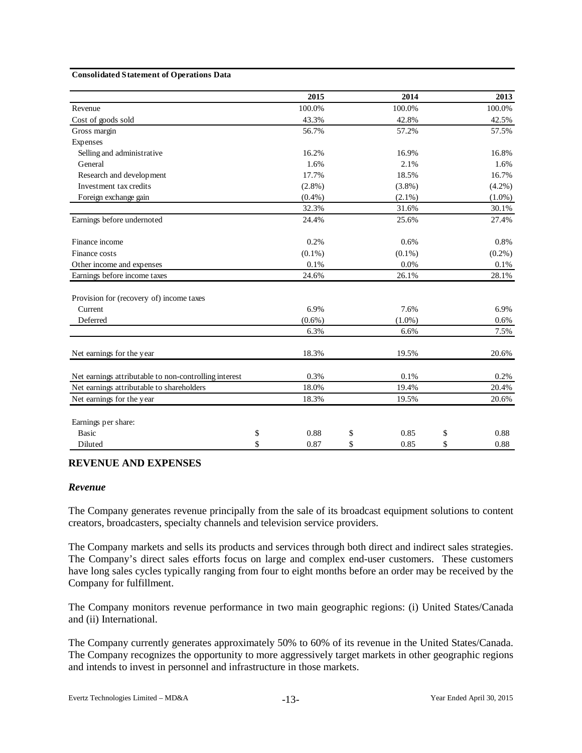#### **Consolidated Statement of Operations Data**

|                                                       |    | 2015      | 2014       |       | 2013      |  |
|-------------------------------------------------------|----|-----------|------------|-------|-----------|--|
| Revenue                                               |    | 100.0%    | 100.0%     |       | 100.0%    |  |
| Cost of goods sold                                    |    | 43.3%     | 42.8%      | 42.5% |           |  |
| Gross margin                                          |    | 56.7%     | 57.2%      |       | 57.5%     |  |
| Expenses                                              |    |           |            |       |           |  |
| Selling and administrative                            |    | 16.2%     | 16.9%      |       | 16.8%     |  |
| General                                               |    | 1.6%      | 2.1%       |       | 1.6%      |  |
| Research and development                              |    | 17.7%     | 18.5%      |       | 16.7%     |  |
| Investment tax credits                                |    | $(2.8\%)$ | (3.8%)     |       | $(4.2\%)$ |  |
| Foreign exchange gain                                 |    | (0.4% )   | $(2.1\%)$  |       | $(1.0\%)$ |  |
|                                                       |    | 32.3%     | 31.6%      |       | 30.1%     |  |
| Earnings before undernoted                            |    | 24.4%     | 25.6%      |       | 27.4%     |  |
| Finance income                                        |    | 0.2%      | 0.6%       |       | 0.8%      |  |
| Finance costs                                         |    | $(0.1\%)$ | $(0.1\%)$  |       | $(0.2\%)$ |  |
| Other income and expenses                             |    | 0.1%      | 0.0%       |       | 0.1%      |  |
| Earnings before income taxes                          |    | 24.6%     | 26.1%      |       | 28.1%     |  |
| Provision for (recovery of) income taxes              |    |           |            |       |           |  |
| Current                                               |    | 6.9%      | 7.6%       |       | 6.9%      |  |
| Deferred                                              |    | $(0.6\%)$ | $(1.0\%)$  |       | 0.6%      |  |
|                                                       |    | 6.3%      | 6.6%       |       | 7.5%      |  |
| Net earnings for the year                             |    | 18.3%     | 19.5%      |       | 20.6%     |  |
| Net earnings attributable to non-controlling interest |    | 0.3%      | 0.1%       |       | 0.2%      |  |
| Net earnings attributable to shareholders             |    | 18.0%     | 19.4%      |       | 20.4%     |  |
| Net earnings for the year                             |    | 18.3%     | 19.5%      |       | 20.6%     |  |
| Earnings per share:                                   |    |           |            |       |           |  |
| <b>Basic</b>                                          | \$ | 0.88      | \$<br>0.85 | \$    | 0.88      |  |
| Diluted                                               | \$ | 0.87      | \$<br>0.85 | \$    | 0.88      |  |

#### **REVENUE AND EXPENSES**

#### *Revenue*

The Company generates revenue principally from the sale of its broadcast equipment solutions to content creators, broadcasters, specialty channels and television service providers.

The Company markets and sells its products and services through both direct and indirect sales strategies. The Company's direct sales efforts focus on large and complex end-user customers. These customers have long sales cycles typically ranging from four to eight months before an order may be received by the Company for fulfillment.

The Company monitors revenue performance in two main geographic regions: (i) United States/Canada and (ii) International.

The Company currently generates approximately 50% to 60% of its revenue in the United States/Canada. The Company recognizes the opportunity to more aggressively target markets in other geographic regions and intends to invest in personnel and infrastructure in those markets.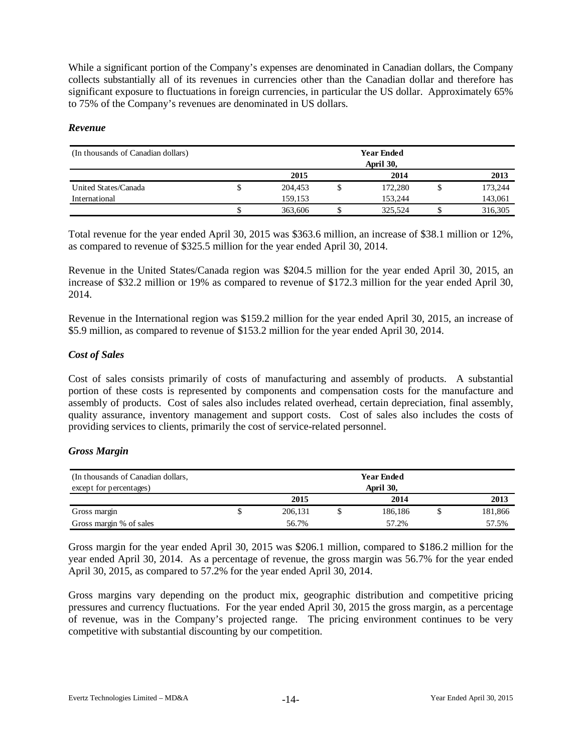While a significant portion of the Company's expenses are denominated in Canadian dollars, the Company collects substantially all of its revenues in currencies other than the Canadian dollar and therefore has significant exposure to fluctuations in foreign currencies, in particular the US dollar. Approximately 65% to 75% of the Company's revenues are denominated in US dollars.

## *Revenue*

| (In thousands of Canadian dollars) |    |         | <b>Year Ended</b><br>April 30, |         |
|------------------------------------|----|---------|--------------------------------|---------|
|                                    |    | 2015    | 2014                           | 2013    |
| United States/Canada               | ٩  | 204,453 | 172,280                        | 173,244 |
| International                      |    | 159.153 | 153.244                        | 143,061 |
|                                    | ٠D | 363,606 | 325.524                        | 316,305 |

Total revenue for the year ended April 30, 2015 was \$363.6 million, an increase of \$38.1 million or 12%, as compared to revenue of \$325.5 million for the year ended April 30, 2014.

Revenue in the United States/Canada region was \$204.5 million for the year ended April 30, 2015, an increase of \$32.2 million or 19% as compared to revenue of \$172.3 million for the year ended April 30, 2014.

Revenue in the International region was \$159.2 million for the year ended April 30, 2015, an increase of \$5.9 million, as compared to revenue of \$153.2 million for the year ended April 30, 2014.

## *Cost of Sales*

Cost of sales consists primarily of costs of manufacturing and assembly of products. A substantial portion of these costs is represented by components and compensation costs for the manufacture and assembly of products. Cost of sales also includes related overhead, certain depreciation, final assembly, quality assurance, inventory management and support costs. Cost of sales also includes the costs of providing services to clients, primarily the cost of service-related personnel.

## *Gross Margin*

| (In thousands of Canadian dollars, | <b>Year Ended</b> |      |         |  |         |  |  |  |  |  |  |
|------------------------------------|-------------------|------|---------|--|---------|--|--|--|--|--|--|
| except for percentages)            | April 30,         |      |         |  |         |  |  |  |  |  |  |
|                                    | 2015              | 2013 |         |  |         |  |  |  |  |  |  |
| Gross margin                       | 206,131           |      | 186,186 |  | 181,866 |  |  |  |  |  |  |
| Gross margin % of sales            | 56.7%             |      | 57.2%   |  | 57.5%   |  |  |  |  |  |  |

Gross margin for the year ended April 30, 2015 was \$206.1 million, compared to \$186.2 million for the year ended April 30, 2014. As a percentage of revenue, the gross margin was 56.7% for the year ended April 30, 2015, as compared to 57.2% for the year ended April 30, 2014.

Gross margins vary depending on the product mix, geographic distribution and competitive pricing pressures and currency fluctuations. For the year ended April 30, 2015 the gross margin, as a percentage of revenue, was in the Company's projected range. The pricing environment continues to be very competitive with substantial discounting by our competition.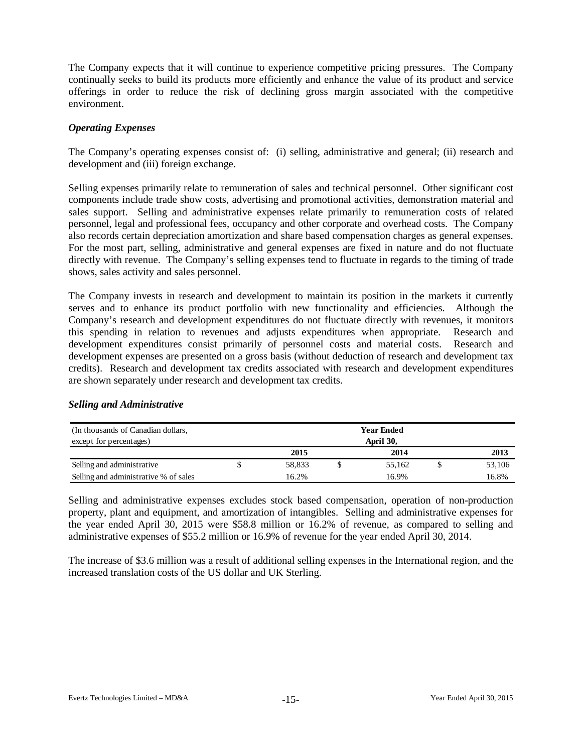The Company expects that it will continue to experience competitive pricing pressures. The Company continually seeks to build its products more efficiently and enhance the value of its product and service offerings in order to reduce the risk of declining gross margin associated with the competitive environment.

## *Operating Expenses*

The Company's operating expenses consist of: (i) selling, administrative and general; (ii) research and development and (iii) foreign exchange.

Selling expenses primarily relate to remuneration of sales and technical personnel. Other significant cost components include trade show costs, advertising and promotional activities, demonstration material and sales support. Selling and administrative expenses relate primarily to remuneration costs of related personnel, legal and professional fees, occupancy and other corporate and overhead costs. The Company also records certain depreciation amortization and share based compensation charges as general expenses. For the most part, selling, administrative and general expenses are fixed in nature and do not fluctuate directly with revenue. The Company's selling expenses tend to fluctuate in regards to the timing of trade shows, sales activity and sales personnel.

The Company invests in research and development to maintain its position in the markets it currently serves and to enhance its product portfolio with new functionality and efficiencies. Although the Company's research and development expenditures do not fluctuate directly with revenues, it monitors this spending in relation to revenues and adjusts expenditures when appropriate. Research and development expenditures consist primarily of personnel costs and material costs. Research and development expenses are presented on a gross basis (without deduction of research and development tax credits). Research and development tax credits associated with research and development expenditures are shown separately under research and development tax credits.

#### (In thousands of Canadian dollars, except for percentages) **2015 2014 2013** Selling and administrative Selling and administrative % of sales 16.2% 16.9% 16.9% 16.8%  **Year Ended April 30,** \$ 58,833 \$ 55,162 \$ 53,106

## *Selling and Administrative*

Selling and administrative expenses excludes stock based compensation, operation of non-production property, plant and equipment, and amortization of intangibles. Selling and administrative expenses for the year ended April 30, 2015 were \$58.8 million or 16.2% of revenue, as compared to selling and administrative expenses of \$55.2 million or 16.9% of revenue for the year ended April 30, 2014.

The increase of \$3.6 million was a result of additional selling expenses in the International region, and the increased translation costs of the US dollar and UK Sterling.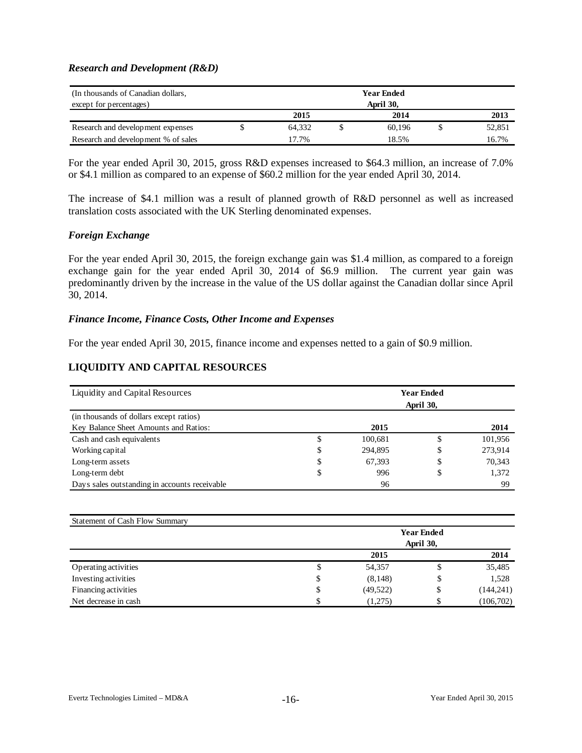### *Research and Development (R&D)*

| (In thousands of Canadian dollars,<br><b>Year Ended</b> |  |           |  |        |  |        |  |  |  |  |
|---------------------------------------------------------|--|-----------|--|--------|--|--------|--|--|--|--|
| except for percentages)                                 |  | April 30, |  |        |  |        |  |  |  |  |
|                                                         |  | 2015      |  | 2014   |  | 2013   |  |  |  |  |
| Research and development expenses                       |  | 64.332    |  | 60.196 |  | 52,851 |  |  |  |  |
| Research and development % of sales                     |  | 17.7%     |  | 18.5%  |  | 16.7%  |  |  |  |  |

For the year ended April 30, 2015, gross R&D expenses increased to \$64.3 million, an increase of 7.0% or \$4.1 million as compared to an expense of \$60.2 million for the year ended April 30, 2014.

The increase of \$4.1 million was a result of planned growth of R&D personnel as well as increased translation costs associated with the UK Sterling denominated expenses.

## *Foreign Exchange*

For the year ended April 30, 2015, the foreign exchange gain was \$1.4 million, as compared to a foreign exchange gain for the year ended April 30, 2014 of \$6.9 million. The current year gain was predominantly driven by the increase in the value of the US dollar against the Canadian dollar since April 30, 2014.

#### *Finance Income, Finance Costs, Other Income and Expenses*

For the year ended April 30, 2015, finance income and expenses netted to a gain of \$0.9 million.

## **LIQUIDITY AND CAPITAL RESOURCES**

| Liquidity and Capital Resources               | <b>Year Ended</b><br>April 30, |         |    |         |  |  |  |  |  |  |
|-----------------------------------------------|--------------------------------|---------|----|---------|--|--|--|--|--|--|
| (in thousands of dollars except ratios)       |                                |         |    |         |  |  |  |  |  |  |
| Key Balance Sheet Amounts and Ratios:         |                                | 2015    |    | 2014    |  |  |  |  |  |  |
| Cash and cash equivalents                     |                                | 100,681 | \$ | 101,956 |  |  |  |  |  |  |
| Working capital                               | \$                             | 294,895 | D  | 273,914 |  |  |  |  |  |  |
| Long-term assets                              | S                              | 67.393  | \$ | 70,343  |  |  |  |  |  |  |
| Long-term debt                                | \$                             | 996     | \$ | 1,372   |  |  |  |  |  |  |
| Days sales outstanding in accounts receivable |                                | 96      |    | 99      |  |  |  |  |  |  |

| <b>Statement of Cash Flow Summary</b> |                   |           |           |            |  |  |  |  |  |  |
|---------------------------------------|-------------------|-----------|-----------|------------|--|--|--|--|--|--|
|                                       | <b>Year Ended</b> |           |           |            |  |  |  |  |  |  |
|                                       |                   |           | April 30, |            |  |  |  |  |  |  |
|                                       | 2015              |           |           |            |  |  |  |  |  |  |
| Operating activities                  | \$                | 54,357    | Φ         | 35,485     |  |  |  |  |  |  |
| Investing activities                  |                   | (8,148)   | \$        | 1,528      |  |  |  |  |  |  |
| Financing activities                  | \$                | (49, 522) | \$        | (144, 241) |  |  |  |  |  |  |
| Net decrease in cash                  |                   | (1,275)   | \$.       | (106,702)  |  |  |  |  |  |  |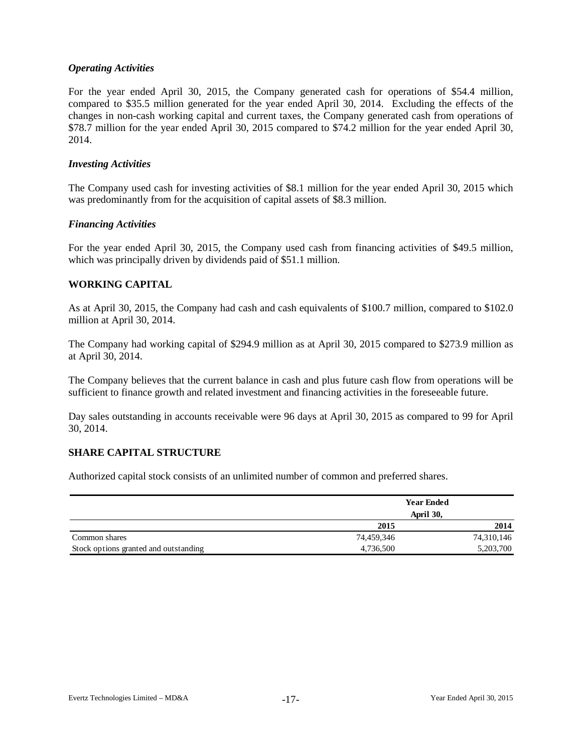## *Operating Activities*

For the year ended April 30, 2015, the Company generated cash for operations of \$54.4 million, compared to \$35.5 million generated for the year ended April 30, 2014. Excluding the effects of the changes in non-cash working capital and current taxes, the Company generated cash from operations of \$78.7 million for the year ended April 30, 2015 compared to \$74.2 million for the year ended April 30, 2014.

#### *Investing Activities*

The Company used cash for investing activities of \$8.1 million for the year ended April 30, 2015 which was predominantly from for the acquisition of capital assets of \$8.3 million.

## *Financing Activities*

For the year ended April 30, 2015, the Company used cash from financing activities of \$49.5 million, which was principally driven by dividends paid of \$51.1 million.

## **WORKING CAPITAL**

As at April 30, 2015, the Company had cash and cash equivalents of \$100.7 million, compared to \$102.0 million at April 30, 2014.

The Company had working capital of \$294.9 million as at April 30, 2015 compared to \$273.9 million as at April 30, 2014.

The Company believes that the current balance in cash and plus future cash flow from operations will be sufficient to finance growth and related investment and financing activities in the foreseeable future.

Day sales outstanding in accounts receivable were 96 days at April 30, 2015 as compared to 99 for April 30, 2014.

## **SHARE CAPITAL STRUCTURE**

Authorized capital stock consists of an unlimited number of common and preferred shares.

|                                       |            | <b>Year Ended</b> |
|---------------------------------------|------------|-------------------|
|                                       |            | April 30,         |
|                                       | 2015       | 2014              |
| Common shares                         | 74,459,346 | 74,310,146        |
| Stock options granted and outstanding | 4,736,500  | 5,203,700         |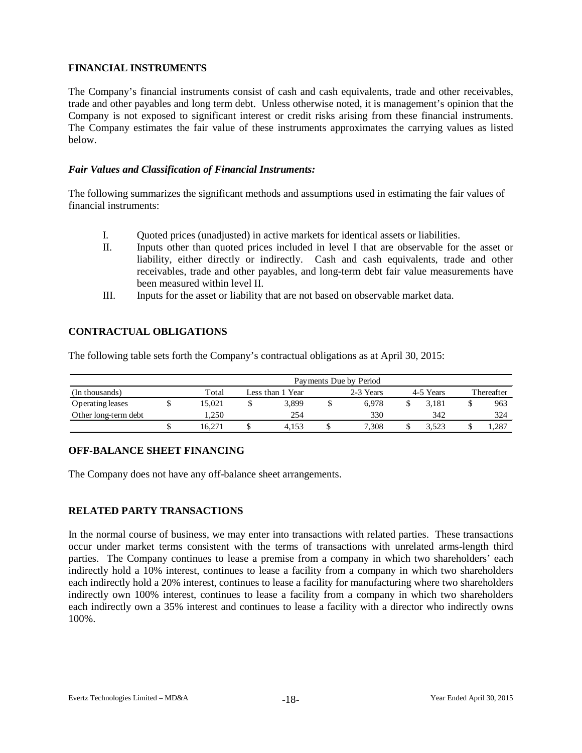## **FINANCIAL INSTRUMENTS**

The Company's financial instruments consist of cash and cash equivalents, trade and other receivables, trade and other payables and long term debt. Unless otherwise noted, it is management's opinion that the Company is not exposed to significant interest or credit risks arising from these financial instruments. The Company estimates the fair value of these instruments approximates the carrying values as listed below.

## *Fair Values and Classification of Financial Instruments:*

The following summarizes the significant methods and assumptions used in estimating the fair values of financial instruments:

- I. Quoted prices (unadjusted) in active markets for identical assets or liabilities.
- II. Inputs other than quoted prices included in level I that are observable for the asset or liability, either directly or indirectly. Cash and cash equivalents, trade and other receivables, trade and other payables, and long-term debt fair value measurements have been measured within level II.
- III. Inputs for the asset or liability that are not based on observable market data.

# **CONTRACTUAL OBLIGATIONS**

The following table sets forth the Company's contractual obligations as at April 30, 2015:

|                      | Payments Due by Period |                  |       |  |           |  |           |            |       |  |  |  |  |
|----------------------|------------------------|------------------|-------|--|-----------|--|-----------|------------|-------|--|--|--|--|
| (In thousands)       | Total                  | Less than 1 Year |       |  | 2-3 Years |  | 4-5 Years | Thereafter |       |  |  |  |  |
| Operating leases     | 15.021                 |                  | 3,899 |  | 6.978     |  | 3.181     |            | 963   |  |  |  |  |
| Other long-term debt | 1.250                  |                  | 254   |  | 330       |  | 342       |            | 324   |  |  |  |  |
|                      | 16.271                 | J                | 4.153 |  | 7.308     |  | 1.523     |            | 1,287 |  |  |  |  |

## **OFF-BALANCE SHEET FINANCING**

The Company does not have any off-balance sheet arrangements.

## **RELATED PARTY TRANSACTIONS**

In the normal course of business, we may enter into transactions with related parties. These transactions occur under market terms consistent with the terms of transactions with unrelated arms-length third parties. The Company continues to lease a premise from a company in which two shareholders' each indirectly hold a 10% interest, continues to lease a facility from a company in which two shareholders each indirectly hold a 20% interest, continues to lease a facility for manufacturing where two shareholders indirectly own 100% interest, continues to lease a facility from a company in which two shareholders each indirectly own a 35% interest and continues to lease a facility with a director who indirectly owns 100%.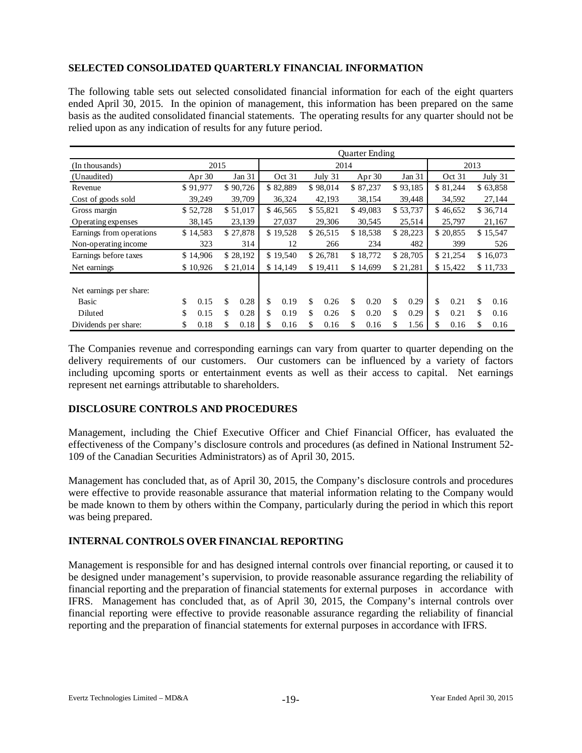# **SELECTED CONSOLIDATED QUARTERLY FINANCIAL INFORMATION**

The following table sets out selected consolidated financial information for each of the eight quarters ended April 30, 2015. In the opinion of management, this information has been prepared on the same basis as the audited consolidated financial statements. The operating results for any quarter should not be relied upon as any indication of results for any future period.

|                          |            | <b>Ouarter Ending</b> |          |          |          |          |          |          |          |          |          |          |          |          |           |
|--------------------------|------------|-----------------------|----------|----------|----------|----------|----------|----------|----------|----------|----------|----------|----------|----------|-----------|
| (In thousands)           | 2015       |                       |          | 2014     |          |          |          |          |          |          |          | 2013     |          |          |           |
| (Unaudited)              | Apr $30$   |                       | Jan 31   |          | Oct 31   |          | July 31  |          | Apr $30$ |          | Jan 31   |          | Oct 31   |          | July $31$ |
| Revenue                  | \$91,977   |                       | \$90,726 |          | \$82,889 |          | \$98,014 |          | \$87,237 |          | \$93,185 |          | \$81,244 |          | \$63,858  |
| Cost of goods sold       | 39,249     |                       | 39,709   |          | 36,324   |          | 42,193   |          | 38,154   |          | 39,448   |          | 34,592   |          | 27,144    |
| Gross margin             | \$52,728   |                       | \$51,017 |          | \$46,565 |          | \$55,821 |          | \$49,083 |          | \$53,737 |          | \$46,652 |          | \$36,714  |
| Operating expenses       | 38,145     | 23,139                |          |          | 27,037   |          | 29,306   |          | 30,545   |          | 25,514   | 25,797   |          | 21,167   |           |
| Earnings from operations | \$14,583   | \$27,878              |          |          | \$19,528 |          | \$26,515 | \$18,538 |          | \$28,223 |          | \$20,855 |          | \$15,547 |           |
| Non-operating income     | 323        |                       | 314      |          | 12       | 266      |          | 234      |          | 482      |          | 399      |          | 526      |           |
| Earnings before taxes    | \$14,906   |                       | \$28,192 | \$19,540 |          | \$26,781 |          | \$18,772 | \$28,705 |          | \$21,254 |          | \$16,073 |          |           |
| Net earnings             | \$10,926   |                       | \$21,014 |          | \$14,149 |          | \$19,411 |          | \$14,699 |          | \$21,281 |          | \$15,422 | \$11,733 |           |
| Net earnings per share:  |            |                       |          |          |          |          |          |          |          |          |          |          |          |          |           |
| Basic                    | \$<br>0.15 | \$                    | 0.28     | \$       | 0.19     | \$       | 0.26     | \$       | 0.20     | \$       | 0.29     | \$       | 0.21     | \$       | 0.16      |
| Diluted                  | \$<br>0.15 | \$                    | 0.28     | \$       | 0.19     | \$       | 0.26     | \$       | 0.20     | \$       | 0.29     | \$       | 0.21     | \$       | 0.16      |
| Dividends per share:     | \$<br>0.18 | \$                    | 0.18     | \$       | 0.16     | \$       | 0.16     | \$       | 0.16     | \$       | 1.56     | \$       | 0.16     | \$       | 0.16      |

The Companies revenue and corresponding earnings can vary from quarter to quarter depending on the delivery requirements of our customers. Our customers can be influenced by a variety of factors including upcoming sports or entertainment events as well as their access to capital. Net earnings represent net earnings attributable to shareholders.

## **DISCLOSURE CONTROLS AND PROCEDURES**

Management, including the Chief Executive Officer and Chief Financial Officer, has evaluated the effectiveness of the Company's disclosure controls and procedures (as defined in National Instrument 52- 109 of the Canadian Securities Administrators) as of April 30, 2015.

Management has concluded that, as of April 30, 2015, the Company's disclosure controls and procedures were effective to provide reasonable assurance that material information relating to the Company would be made known to them by others within the Company, particularly during the period in which this report was being prepared.

## **INTERNAL CONTROLS OVER FINANCIAL REPORTING**

Management is responsible for and has designed internal controls over financial reporting, or caused it to be designed under management's supervision, to provide reasonable assurance regarding the reliability of financial reporting and the preparation of financial statements for external purposes in accordance with IFRS. Management has concluded that, as of April 30, 2015, the Company's internal controls over financial reporting were effective to provide reasonable assurance regarding the reliability of financial reporting and the preparation of financial statements for external purposes in accordance with IFRS.